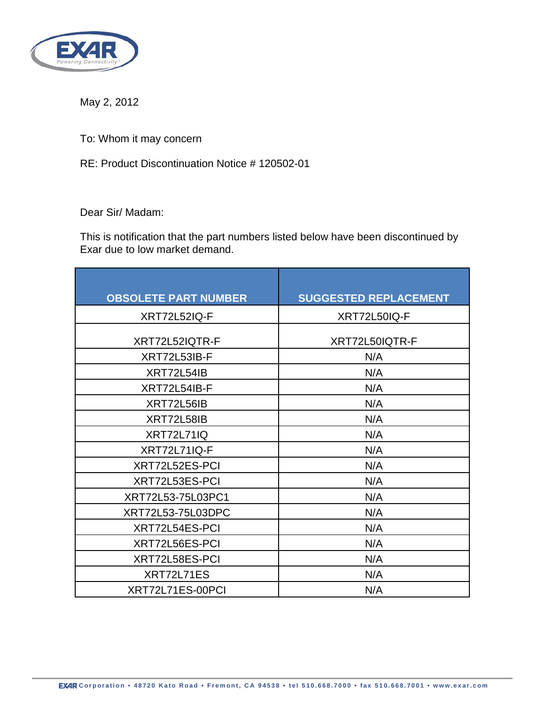

May 2, 2012

To: Whom it may concern

RE: Product Discontinuation Notice # 120502-01

Dear Sir/ Madam:

This is notification that the part numbers listed below have been discontinued by Exar due to low market demand.

| <b>OBSOLETE PART NUMBER</b> | <b>SUGGESTED REPLACEMENT</b> |
|-----------------------------|------------------------------|
| <b>XRT72L52IQ-F</b>         | XRT72L50IQ-F                 |
| XRT72L52IQTR-F              | XRT72L50IQTR-F               |
| XRT72L53IB-F                | N/A                          |
| XRT72L54IB                  | N/A                          |
| XRT72L54IB-F                | N/A                          |
| XRT72L56IB                  | N/A                          |
| XRT72L58IB                  | N/A                          |
| <b>XRT72L71IQ</b>           | N/A                          |
| <b>XRT72L71IQ-F</b>         | N/A                          |
| XRT72L52ES-PCI              | N/A                          |
| XRT72L53ES-PCI              | N/A                          |
| XRT72L53-75L03PC1           | N/A                          |
| XRT72L53-75L03DPC           | N/A                          |
| XRT72L54ES-PCI              | N/A                          |
| XRT72L56ES-PCI              | N/A                          |
| XRT72L58ES-PCI              | N/A                          |
| XRT72L71ES                  | N/A                          |
| XRT72L71ES-00PCI            | N/A                          |